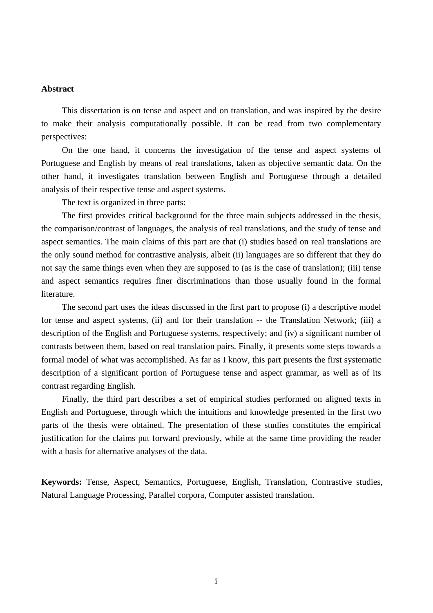## **Abstract**

This dissertation is on tense and aspect and on translation, and was inspired by the desire to make their analysis computationally possible. It can be read from two complementary perspectives:

On the one hand, it concerns the investigation of the tense and aspect systems of Portuguese and English by means of real translations, taken as objective semantic data. On the other hand, it investigates translation between English and Portuguese through a detailed analysis of their respective tense and aspect systems.

The text is organized in three parts:

The first provides critical background for the three main subjects addressed in the thesis, the comparison/contrast of languages, the analysis of real translations, and the study of tense and aspect semantics. The main claims of this part are that (i) studies based on real translations are the only sound method for contrastive analysis, albeit (ii) languages are so different that they do not say the same things even when they are supposed to (as is the case of translation); (iii) tense and aspect semantics requires finer discriminations than those usually found in the formal literature.

The second part uses the ideas discussed in the first part to propose (i) a descriptive model for tense and aspect systems, (ii) and for their translation -- the Translation Network; (iii) a description of the English and Portuguese systems, respectively; and (iv) a significant number of contrasts between them, based on real translation pairs. Finally, it presents some steps towards a formal model of what was accomplished. As far as I know, this part presents the first systematic description of a significant portion of Portuguese tense and aspect grammar, as well as of its contrast regarding English.

Finally, the third part describes a set of empirical studies performed on aligned texts in English and Portuguese, through which the intuitions and knowledge presented in the first two parts of the thesis were obtained. The presentation of these studies constitutes the empirical justification for the claims put forward previously, while at the same time providing the reader with a basis for alternative analyses of the data.

**Keywords:** Tense, Aspect, Semantics, Portuguese, English, Translation, Contrastive studies, Natural Language Processing, Parallel corpora, Computer assisted translation.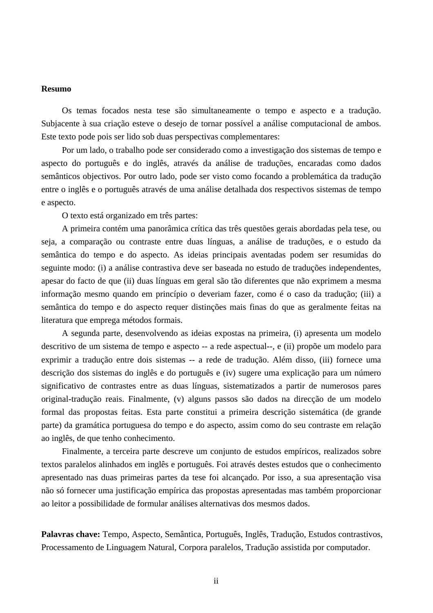## **Resumo**

Os temas focados nesta tese são simultaneamente o tempo e aspecto e a tradução. Subjacente à sua criação esteve o desejo de tornar possível a análise computacional de ambos. Este texto pode pois ser lido sob duas perspectivas complementares:

Por um lado, o trabalho pode ser considerado como a investigação dos sistemas de tempo e aspecto do português e do inglês, através da análise de traduções, encaradas como dados semânticos objectivos. Por outro lado, pode ser visto como focando a problemática da tradução entre o inglês e o português através de uma análise detalhada dos respectivos sistemas de tempo e aspecto.

O texto está organizado em três partes:

A primeira contém uma panorâmica crítica das três questões gerais abordadas pela tese, ou seja, a comparação ou contraste entre duas línguas, a análise de traduções, e o estudo da semântica do tempo e do aspecto. As ideias principais aventadas podem ser resumidas do seguinte modo: (i) a análise contrastiva deve ser baseada no estudo de traduções independentes, apesar do facto de que (ii) duas línguas em geral são tão diferentes que não exprimem a mesma informação mesmo quando em princípio o deveriam fazer, como é o caso da tradução; (iii) a semântica do tempo e do aspecto requer distinções mais finas do que as geralmente feitas na literatura que emprega métodos formais.

A segunda parte, desenvolvendo as ideias expostas na primeira, (i) apresenta um modelo descritivo de um sistema de tempo e aspecto -- a rede aspectual--, e (ii) propõe um modelo para exprimir a tradução entre dois sistemas -- a rede de tradução. Além disso, (iii) fornece uma descrição dos sistemas do inglês e do português e (iv) sugere uma explicação para um número significativo de contrastes entre as duas línguas, sistematizados a partir de numerosos pares original-tradução reais. Finalmente, (v) alguns passos são dados na direcção de um modelo formal das propostas feitas. Esta parte constitui a primeira descrição sistemática (de grande parte) da gramática portuguesa do tempo e do aspecto, assim como do seu contraste em relação ao inglês, de que tenho conhecimento.

Finalmente, a terceira parte descreve um conjunto de estudos empíricos, realizados sobre textos paralelos alinhados em inglês e português. Foi através destes estudos que o conhecimento apresentado nas duas primeiras partes da tese foi alcançado. Por isso, a sua apresentação visa não só fornecer uma justificação empírica das propostas apresentadas mas também proporcionar ao leitor a possibilidade de formular análises alternativas dos mesmos dados.

**Palavras chave:** Tempo, Aspecto, Semântica, Português, Inglês, Tradução, Estudos contrastivos, Processamento de Linguagem Natural, Corpora paralelos, Tradução assistida por computador.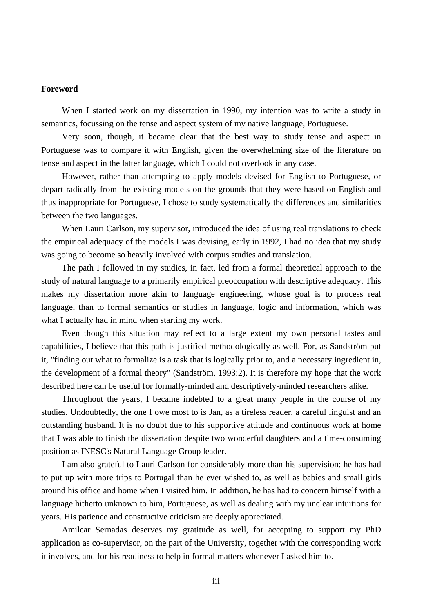## **Foreword**

When I started work on my dissertation in 1990, my intention was to write a study in semantics, focussing on the tense and aspect system of my native language, Portuguese.

Very soon, though, it became clear that the best way to study tense and aspect in Portuguese was to compare it with English, given the overwhelming size of the literature on tense and aspect in the latter language, which I could not overlook in any case.

However, rather than attempting to apply models devised for English to Portuguese, or depart radically from the existing models on the grounds that they were based on English and thus inappropriate for Portuguese, I chose to study systematically the differences and similarities between the two languages.

When Lauri Carlson, my supervisor, introduced the idea of using real translations to check the empirical adequacy of the models I was devising, early in 1992, I had no idea that my study was going to become so heavily involved with corpus studies and translation.

The path I followed in my studies, in fact, led from a formal theoretical approach to the study of natural language to a primarily empirical preoccupation with descriptive adequacy. This makes my dissertation more akin to language engineering, whose goal is to process real language, than to formal semantics or studies in language, logic and information, which was what I actually had in mind when starting my work.

Even though this situation may reflect to a large extent my own personal tastes and capabilities, I believe that this path is justified methodologically as well. For, as Sandström put it, "finding out what to formalize is a task that is logically prior to, and a necessary ingredient in, the development of a formal theory" (Sandström, 1993:2). It is therefore my hope that the work described here can be useful for formally-minded and descriptively-minded researchers alike.

Throughout the years, I became indebted to a great many people in the course of my studies. Undoubtedly, the one I owe most to is Jan, as a tireless reader, a careful linguist and an outstanding husband. It is no doubt due to his supportive attitude and continuous work at home that I was able to finish the dissertation despite two wonderful daughters and a time-consuming position as INESC's Natural Language Group leader.

I am also grateful to Lauri Carlson for considerably more than his supervision: he has had to put up with more trips to Portugal than he ever wished to, as well as babies and small girls around his office and home when I visited him. In addition, he has had to concern himself with a language hitherto unknown to him, Portuguese, as well as dealing with my unclear intuitions for years. His patience and constructive criticism are deeply appreciated.

Amilcar Sernadas deserves my gratitude as well, for accepting to support my PhD application as co-supervisor, on the part of the University, together with the corresponding work it involves, and for his readiness to help in formal matters whenever I asked him to.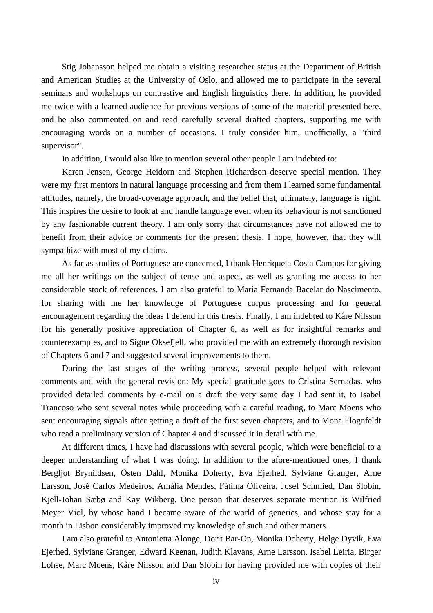Stig Johansson helped me obtain a visiting researcher status at the Department of British and American Studies at the University of Oslo, and allowed me to participate in the several seminars and workshops on contrastive and English linguistics there. In addition, he provided me twice with a learned audience for previous versions of some of the material presented here, and he also commented on and read carefully several drafted chapters, supporting me with encouraging words on a number of occasions. I truly consider him, unofficially, a "third supervisor".

In addition, I would also like to mention several other people I am indebted to:

Karen Jensen, George Heidorn and Stephen Richardson deserve special mention. They were my first mentors in natural language processing and from them I learned some fundamental attitudes, namely, the broad-coverage approach, and the belief that, ultimately, language is right. This inspires the desire to look at and handle language even when its behaviour is not sanctioned by any fashionable current theory. I am only sorry that circumstances have not allowed me to benefit from their advice or comments for the present thesis. I hope, however, that they will sympathize with most of my claims.

As far as studies of Portuguese are concerned, I thank Henriqueta Costa Campos for giving me all her writings on the subject of tense and aspect, as well as granting me access to her considerable stock of references. I am also grateful to Maria Fernanda Bacelar do Nascimento, for sharing with me her knowledge of Portuguese corpus processing and for general encouragement regarding the ideas I defend in this thesis. Finally, I am indebted to Kåre Nilsson for his generally positive appreciation of Chapter 6, as well as for insightful remarks and counterexamples, and to Signe Oksefjell, who provided me with an extremely thorough revision of Chapters 6 and 7 and suggested several improvements to them.

During the last stages of the writing process, several people helped with relevant comments and with the general revision: My special gratitude goes to Cristina Sernadas, who provided detailed comments by e-mail on a draft the very same day I had sent it, to Isabel Trancoso who sent several notes while proceeding with a careful reading, to Marc Moens who sent encouraging signals after getting a draft of the first seven chapters, and to Mona Flognfeldt who read a preliminary version of Chapter 4 and discussed it in detail with me.

At different times, I have had discussions with several people, which were beneficial to a deeper understanding of what I was doing. In addition to the afore-mentioned ones, I thank Bergljot Brynildsen, Östen Dahl, Monika Doherty, Eva Ejerhed, Sylviane Granger, Arne Larsson, José Carlos Medeiros, Amália Mendes, Fátima Oliveira, Josef Schmied, Dan Slobin, Kjell-Johan Sæbø and Kay Wikberg. One person that deserves separate mention is Wilfried Meyer Viol, by whose hand I became aware of the world of generics, and whose stay for a month in Lisbon considerably improved my knowledge of such and other matters.

I am also grateful to Antonietta Alonge, Dorit Bar-On, Monika Doherty, Helge Dyvik, Eva Ejerhed, Sylviane Granger, Edward Keenan, Judith Klavans, Arne Larsson, Isabel Leiria, Birger Lohse, Marc Moens, Kåre Nilsson and Dan Slobin for having provided me with copies of their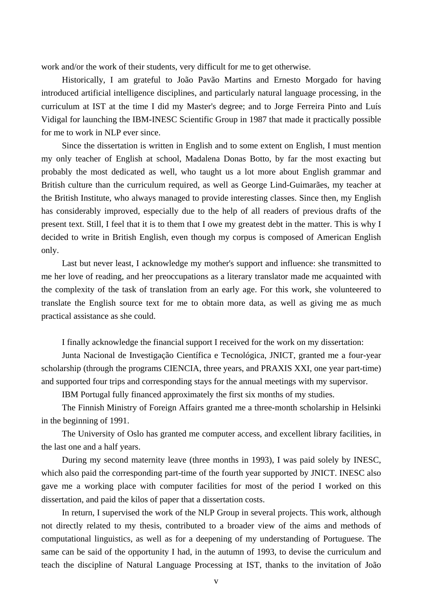work and/or the work of their students, very difficult for me to get otherwise.

Historically, I am grateful to João Pavão Martins and Ernesto Morgado for having introduced artificial intelligence disciplines, and particularly natural language processing, in the curriculum at IST at the time I did my Master's degree; and to Jorge Ferreira Pinto and Luís Vidigal for launching the IBM-INESC Scientific Group in 1987 that made it practically possible for me to work in NLP ever since.

Since the dissertation is written in English and to some extent on English, I must mention my only teacher of English at school, Madalena Donas Botto, by far the most exacting but probably the most dedicated as well, who taught us a lot more about English grammar and British culture than the curriculum required, as well as George Lind-Guimarães, my teacher at the British Institute, who always managed to provide interesting classes. Since then, my English has considerably improved, especially due to the help of all readers of previous drafts of the present text. Still, I feel that it is to them that I owe my greatest debt in the matter. This is why I decided to write in British English, even though my corpus is composed of American English only.

Last but never least, I acknowledge my mother's support and influence: she transmitted to me her love of reading, and her preoccupations as a literary translator made me acquainted with the complexity of the task of translation from an early age. For this work, she volunteered to translate the English source text for me to obtain more data, as well as giving me as much practical assistance as she could.

I finally acknowledge the financial support I received for the work on my dissertation:

Junta Nacional de Investigação Científica e Tecnológica, JNICT, granted me a four-year scholarship (through the programs CIENCIA, three years, and PRAXIS XXI, one year part-time) and supported four trips and corresponding stays for the annual meetings with my supervisor.

IBM Portugal fully financed approximately the first six months of my studies.

The Finnish Ministry of Foreign Affairs granted me a three-month scholarship in Helsinki in the beginning of 1991.

The University of Oslo has granted me computer access, and excellent library facilities, in the last one and a half years.

During my second maternity leave (three months in 1993), I was paid solely by INESC, which also paid the corresponding part-time of the fourth year supported by JNICT. INESC also gave me a working place with computer facilities for most of the period I worked on this dissertation, and paid the kilos of paper that a dissertation costs.

In return, I supervised the work of the NLP Group in several projects. This work, although not directly related to my thesis, contributed to a broader view of the aims and methods of computational linguistics, as well as for a deepening of my understanding of Portuguese. The same can be said of the opportunity I had, in the autumn of 1993, to devise the curriculum and teach the discipline of Natural Language Processing at IST, thanks to the invitation of João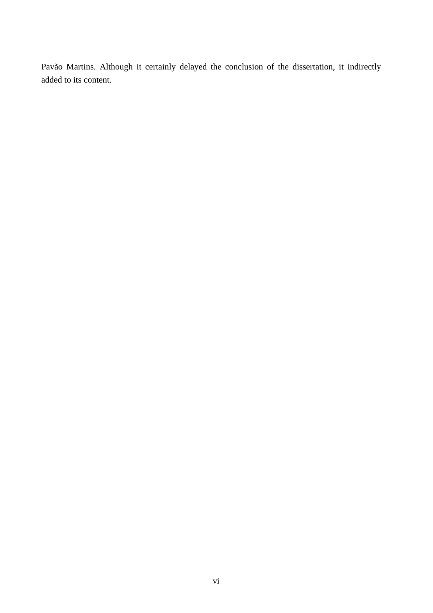Pavão Martins. Although it certainly delayed the conclusion of the dissertation, it indirectly added to its content.